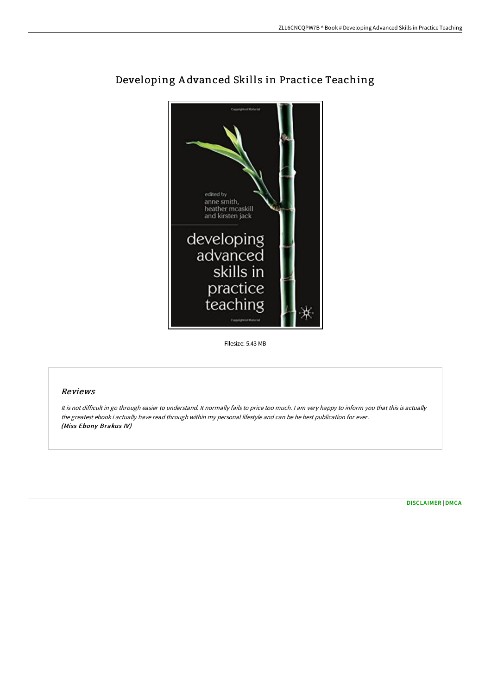

# Developing A dvanced Skills in Practice Teaching

Filesize: 5.43 MB

## Reviews

It is not difficult in go through easier to understand. It normally fails to price too much. <sup>I</sup> am very happy to inform you that this is actually the greatest ebook i actually have read through within my personal lifestyle and can be he best publication for ever. (Miss Ebony Brakus IV)

[DISCLAIMER](http://techno-pub.tech/disclaimer.html) | [DMCA](http://techno-pub.tech/dmca.html)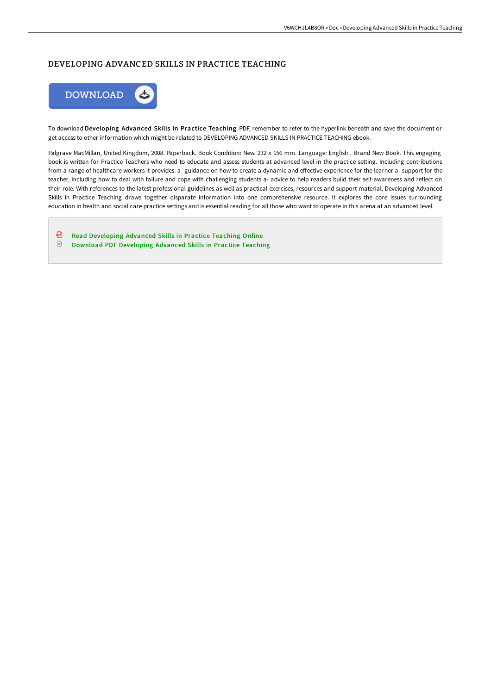# DEVELOPING ADVANCED SKILLS IN PRACTICE TEACHING



To download Developing Advanced Skills in Practice Teaching PDF, remember to refer to the hyperlink beneath and save the document or get access to other information which might be related to DEVELOPING ADVANCED SKILLS IN PRACTICE TEACHING ebook.

Palgrave MacMillan, United Kingdom, 2008. Paperback. Book Condition: New. 232 x 156 mm. Language: English . Brand New Book. This engaging book is written for Practice Teachers who need to educate and assess students at advanced level in the practice setting. Including contributions from a range of healthcare workers it provides: a- guidance on how to create a dynamic and eFective experience for the learner a- support for the teacher, including how to deal with failure and cope with challenging students a- advice to help readers build their self-awareness and reflect on their role. With references to the latest professional guidelines as well as practical exercises, resources and support material, Developing Advanced Skills in Practice Teaching draws together disparate information into one comprehensive resource. It explores the core issues surrounding education in health and social care practice settings and is essential reading for all those who want to operate in this arena at an advanced level.

⊕ Read [Developing](http://techno-pub.tech/developing-advanced-skills-in-practice-teaching-.html) Advanced Skills in Practice Teaching Online  $\quad \blacksquare$ Download PDF [Developing](http://techno-pub.tech/developing-advanced-skills-in-practice-teaching-.html) Advanced Skills in Practice Teaching